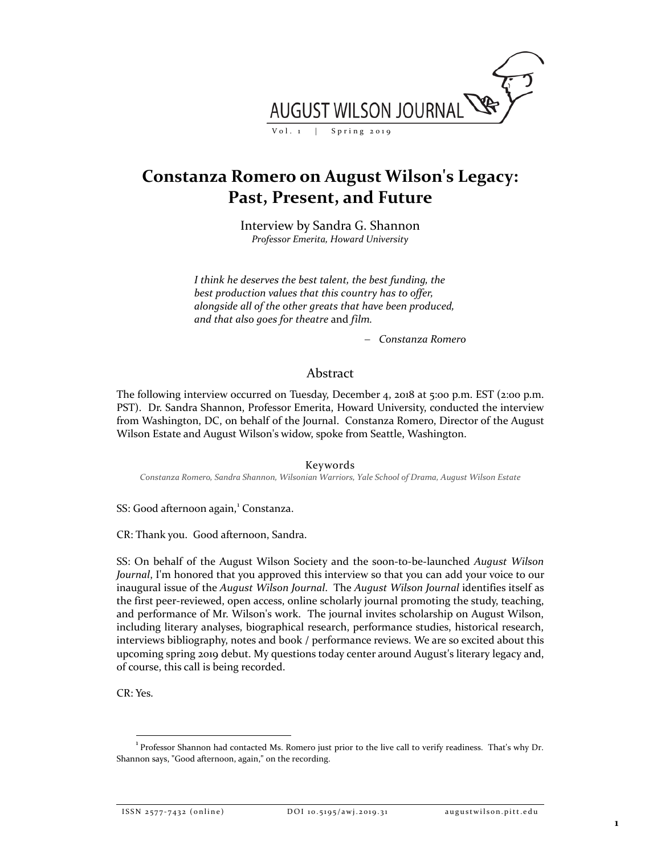

# **Constanza Romero on August Wilson's Legacy: Past, Present, and Future**

Interview by Sandra G. Shannon *Professor Emerita, Howard University*

*I think he deserves the best talent, the best funding, the best production values that this country has to offer, alongside all of the other greats that have been produced, and that also goes for theatre* and *film.* 

− *Constanza Romero*

## Abstract

The following interview occurred on Tuesday, December 4, 2018 at 5:00 p.m. EST (2:00 p.m. PST). Dr. Sandra Shannon, Professor Emerita, Howard University, conducted the interview from Washington, DC, on behalf of the Journal. Constanza Romero, Director of the August Wilson Estate and August Wilson's widow, spoke from Seattle, Washington.

Keywords

*Constanza Romero, Sandra Shannon, Wilsonian Warriors, Yale School of Drama, August Wilson Estate*

SS: Good afternoon again, [1](#page-0-0) Constanza.

CR: Thank you. Good afternoon, Sandra.

SS: On behalf of the August Wilson Society and the soon-to-be-launched *August Wilson Journal*, I'm honored that you approved this interview so that you can add your voice to our inaugural issue of the *August Wilson Journal*. The *August Wilson Journal* identifies itself as the first peer-reviewed, open access, online scholarly journal promoting the study, teaching, and performance of Mr. Wilson's work. The journal invites scholarship on August Wilson, including literary analyses, biographical research, performance studies, historical research, interviews bibliography, notes and book / performance reviews. We are so excited about this upcoming spring 2019 debut. My questions today center around August's literary legacy and, of course, this call is being recorded.

CR: Yes.

<span id="page-0-0"></span><sup>|&</sup>lt;br>1 <sup>1</sup> Professor Shannon had contacted Ms. Romero just prior to the live call to verify readiness. That's why Dr. Shannon says, "Good afternoon, again," on the recording.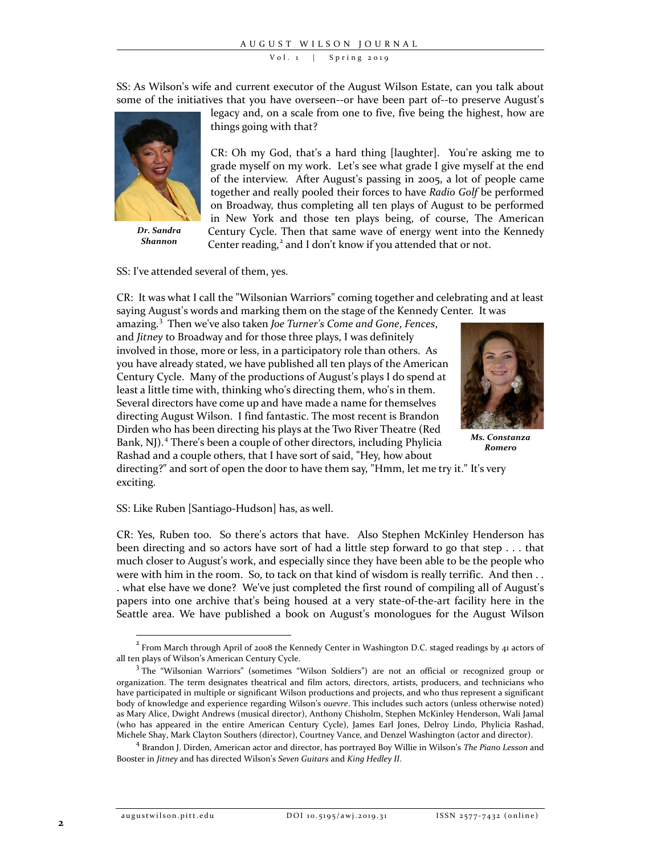SS: As Wilson's wife and current executor of the August Wilson Estate, can you talk about some of the initiatives that you have overseen--or have been part of--to preserve August's



*Dr. Sandra Shannon*

legacy and, on a scale from one to five, five being the highest, how are things going with that?

CR: Oh my God, that's a hard thing [laughter]. You're asking me to grade myself on my work. Let's see what grade I give myself at the end of the interview. After August's passing in 2005, a lot of people came together and really pooled their forces to have *Radio Golf* be performed on Broadway, thus completing all ten plays of August to be performed in New York and those ten plays being, of course, The American Century Cycle. Then that same wave of energy went into the Kennedy Center reading,<sup>[2](#page-1-0)</sup> and I don't know if you attended that or not.

SS: I've attended several of them, yes.

CR: It was what I call the "Wilsonian Warriors" coming together and celebrating and at least saying August's words and marking them on the stage of the Kennedy Center. It was

amazing.[3](#page-1-1) Then we've also taken *Joe Turner's Come and Gone*, *Fences*, and *Jitney* to Broadway and for those three plays, I was definitely involved in those, more or less, in a participatory role than others. As you have already stated, we have published all ten plays of the American Century Cycle. Many of the productions of August's plays I do spend at least a little time with, thinking who's directing them, who's in them. Several directors have come up and have made a name for themselves directing August Wilson. I find fantastic. The most recent is Brandon Dirden who has been directing his plays at the Two River Theatre (Red Bank, NJ). [4](#page-1-2) There's been a couple of other directors, including Phylicia Rashad and a couple others, that I have sort of said, "Hey, how about



*Ms. Constanza Romero*

directing?" and sort of open the door to have them say, "Hmm, let me try it." It's very exciting.

SS: Like Ruben [Santiago-Hudson] has, as well.

CR: Yes, Ruben too. So there's actors that have. Also Stephen McKinley Henderson has been directing and so actors have sort of had a little step forward to go that step . . . that much closer to August's work, and especially since they have been able to be the people who were with him in the room. So, to tack on that kind of wisdom is really terrific. And then . . . what else have we done? We've just completed the first round of compiling all of August's papers into one archive that's being housed at a very state-of-the-art facility here in the Seattle area. We have published a book on August's monologues for the August Wilson

<span id="page-1-0"></span> <sup>2</sup> From March through April of 2008 the Kennedy Center in Washington D.C. staged readings by 41 actors of all ten plays of Wilson's American Century Cycle.<br><sup>3</sup> The "Wilsonian Warriors" (sometimes "Wilson Soldiers") are not an official or recognized group or

<span id="page-1-1"></span>organization. The term designates theatrical and film actors, directors, artists, producers, and technicians who have participated in multiple or significant Wilson productions and projects, and who thus represent a significant body of knowledge and experience regarding Wilson's *ouevre*. This includes such actors (unless otherwise noted) as Mary Alice, Dwight Andrews (musical director), Anthony Chisholm, Stephen McKinley Henderson, Wali Jamal (who has appeared in the entire American Century Cycle), James Earl Jones, Delroy Lindo, Phylicia Rashad, Michele Shay, Mark Clayton Southers (director), Courtney Vance, and Denzel Washington (actor and director). 4 Brandon J. Dirden, American actor and director, has portrayed Boy Willie in Wilson's *The Piano Lesson* and

<span id="page-1-2"></span>Booster in *Jitney* and has directed Wilson's *Seven Guitars* and *King Hedley II*.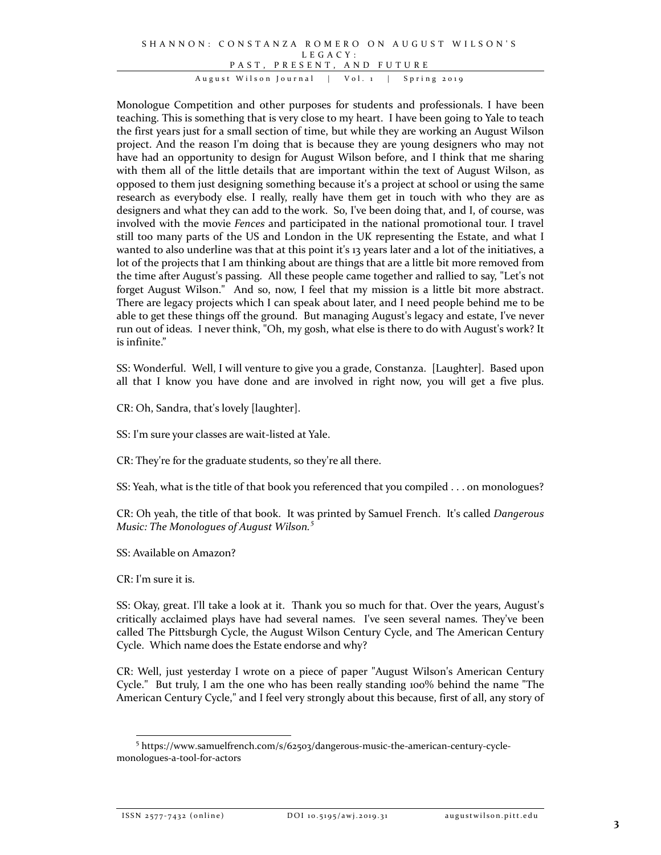#### SHANNON : CONSTANZA ROMERO ON AUGUST WILSON'S LEGACY: PAST, PRESENT, AND FUTURE August Wilson Journal | Vol. 1 | Spring 2019

Monologue Competition and other purposes for students and professionals. I have been teaching. This is something that is very close to my heart. I have been going to Yale to teach the first years just for a small section of time, but while they are working an August Wilson project. And the reason I'm doing that is because they are young designers who may not have had an opportunity to design for August Wilson before, and I think that me sharing with them all of the little details that are important within the text of August Wilson, as opposed to them just designing something because it's a project at school or using the same research as everybody else. I really, really have them get in touch with who they are as designers and what they can add to the work. So, I've been doing that, and I, of course, was involved with the movie *Fences* and participated in the national promotional tour. I travel still too many parts of the US and London in the UK representing the Estate, and what I wanted to also underline was that at this point it's 13 years later and a lot of the initiatives, a lot of the projects that I am thinking about are things that are a little bit more removed from the time after August's passing. All these people came together and rallied to say, "Let's not forget August Wilson." And so, now, I feel that my mission is a little bit more abstract. There are legacy projects which I can speak about later, and I need people behind me to be able to get these things off the ground. But managing August's legacy and estate, I've never run out of ideas. I never think, "Oh, my gosh, what else is there to do with August's work? It is infinite."

SS: Wonderful. Well, I will venture to give you a grade, Constanza. [Laughter]. Based upon all that I know you have done and are involved in right now, you will get a five plus.

CR: Oh, Sandra, that's lovely [laughter].

SS: I'm sure your classes are wait-listed at Yale.

CR: They're for the graduate students, so they're all there.

SS: Yeah, what is the title of that book you referenced that you compiled . . . on monologues?

CR: Oh yeah, the title of that book. It was printed by Samuel French. It's called *Dangerous Music: The Monologues of August Wilson. [5](#page-2-0)*

SS: Available on Amazon?

CR: I'm sure it is.

SS: Okay, great. I'll take a look at it. Thank you so much for that. Over the years, August's critically acclaimed plays have had several names. I've seen several names. They've been called The Pittsburgh Cycle, the August Wilson Century Cycle, and The American Century Cycle. Which name does the Estate endorse and why?

CR: Well, just yesterday I wrote on a piece of paper "August Wilson's American Century Cycle." But truly, I am the one who has been really standing 100% behind the name "The American Century Cycle," and I feel very strongly about this because, first of all, any story of

<span id="page-2-0"></span> <sup>5</sup> https://www.samuelfrench.com/s/62503/dangerous-music-the-american-century-cyclemonologues-a-tool-for-actors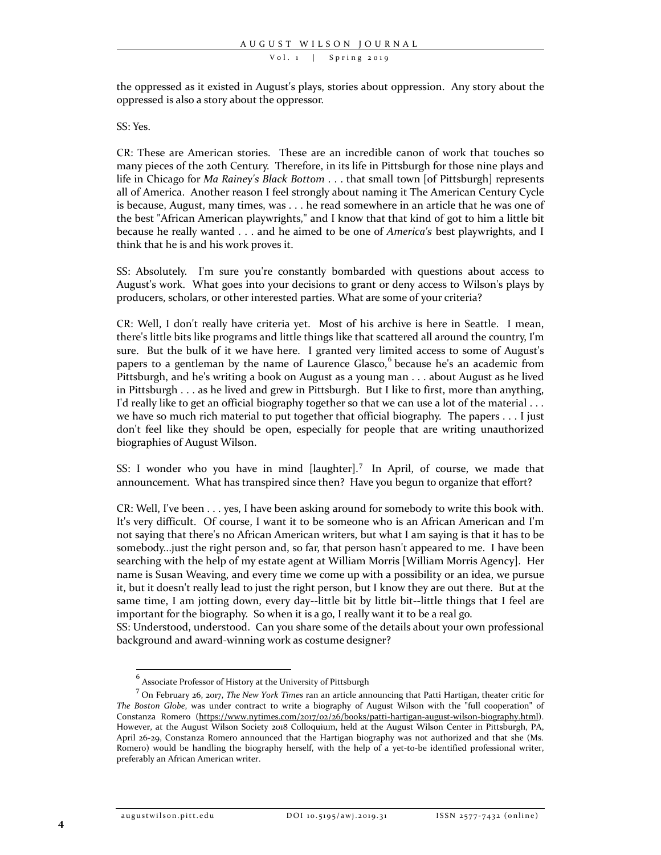the oppressed as it existed in August's plays, stories about oppression. Any story about the oppressed is also a story about the oppressor.

#### SS: Yes.

CR: These are American stories. These are an incredible canon of work that touches so many pieces of the 20th Century. Therefore, in its life in Pittsburgh for those nine plays and life in Chicago for *Ma Rainey's Black Bottom* . . . that small town [of Pittsburgh] represents all of America. Another reason I feel strongly about naming it The American Century Cycle is because, August, many times, was . . . he read somewhere in an article that he was one of the best "African American playwrights," and I know that that kind of got to him a little bit because he really wanted . . . and he aimed to be one of *America's* best playwrights, and I think that he is and his work proves it.

SS: Absolutely. I'm sure you're constantly bombarded with questions about access to August's work. What goes into your decisions to grant or deny access to Wilson's plays by producers, scholars, or other interested parties. What are some of your criteria?

CR: Well, I don't really have criteria yet. Most of his archive is here in Seattle. I mean, there's little bits like programs and little things like that scattered all around the country, I'm sure. But the bulk of it we have here. I granted very limited access to some of August's papers to a gentleman by the name of Laurence Glasco, <sup>[6](#page-3-0)</sup> because he's an academic from Pittsburgh, and he's writing a book on August as a young man . . . about August as he lived in Pittsburgh . . . as he lived and grew in Pittsburgh. But I like to first, more than anything, I'd really like to get an official biography together so that we can use a lot of the material . . . we have so much rich material to put together that official biography. The papers . . . I just don't feel like they should be open, especially for people that are writing unauthorized biographies of August Wilson.

SS: I wonder who you have in mind [laughter].<sup>[7](#page-3-1)</sup> In April, of course, we made that announcement. What has transpired since then? Have you begun to organize that effort?

SS: Understood, understood. Can you share some of the details about your own professional background and award-winning work as costume designer?

CR: Well, I've been . . . yes, I have been asking around for somebody to write this book with. It's very difficult. Of course, I want it to be someone who is an African American and I'm not saying that there's no African American writers, but what I am saying is that it has to be somebody...just the right person and, so far, that person hasn't appeared to me. I have been searching with the help of my estate agent at William Morris [William Morris Agency]. Her name is Susan Weaving, and every time we come up with a possibility or an idea, we pursue it, but it doesn't really lead to just the right person, but I know they are out there. But at the same time, I am jotting down, every day--little bit by little bit--little things that I feel are important for the biography. So when it is a go, I really want it to be a real go.

 $^6$  Associate Professor of History at the University of Pittsburgh

<span id="page-3-1"></span><span id="page-3-0"></span><sup>7</sup> On February 26, 2017, *The New York Times* ran an article announcing that Patti Hartigan, theater critic for *The Boston Globe*, was under contract to write a biography of August Wilson with the "full cooperation" of Constanza Romero [\(https://www.nytimes.com/2017/02/26/books/patti-hartigan-august-wilson-biography.html\)](https://www.nytimes.com/2017/02/26/books/patti-hartigan-august-wilson-biography.html). However, at the August Wilson Society 2018 Colloquium, held at the August Wilson Center in Pittsburgh, PA, April 26-29, Constanza Romero announced that the Hartigan biography was not authorized and that she (Ms. Romero) would be handling the biography herself, with the help of a yet-to-be identified professional writer, preferably an African American writer.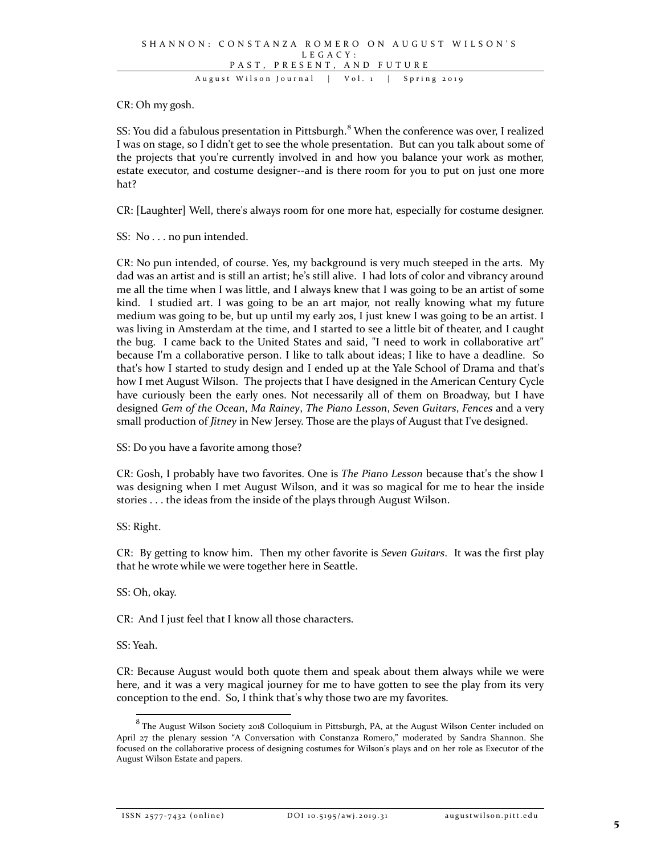CR: Oh my gosh.

SS: You did a fabulous presentation in Pittsburgh.<sup>[8](#page-4-0)</sup> When the conference was over, I realized I was on stage, so I didn't get to see the whole presentation. But can you talk about some of the projects that you're currently involved in and how you balance your work as mother, estate executor, and costume designer--and is there room for you to put on just one more hat?

CR: [Laughter] Well, there's always room for one more hat, especially for costume designer.

SS: No . . . no pun intended.

CR: No pun intended, of course. Yes, my background is very much steeped in the arts. My dad was an artist and is still an artist; he's still alive. I had lots of color and vibrancy around me all the time when I was little, and I always knew that I was going to be an artist of some kind. I studied art. I was going to be an art major, not really knowing what my future medium was going to be, but up until my early 20s, I just knew I was going to be an artist. I was living in Amsterdam at the time, and I started to see a little bit of theater, and I caught the bug. I came back to the United States and said, "I need to work in collaborative art" because I'm a collaborative person. I like to talk about ideas; I like to have a deadline. So that's how I started to study design and I ended up at the Yale School of Drama and that's how I met August Wilson. The projects that I have designed in the American Century Cycle have curiously been the early ones. Not necessarily all of them on Broadway, but I have designed *Gem of the Ocean*, *Ma Rainey*, *The Piano Lesson*, *Seven Guitars*, *Fences* and a very small production of *Jitney* in New Jersey. Those are the plays of August that I've designed.

SS: Do you have a favorite among those?

CR: Gosh, I probably have two favorites. One is *The Piano Lesson* because that's the show I was designing when I met August Wilson, and it was so magical for me to hear the inside stories . . . the ideas from the inside of the plays through August Wilson.

SS: Right.

CR: By getting to know him. Then my other favorite is *Seven Guitars*. It was the first play that he wrote while we were together here in Seattle.

SS: Oh, okay.

CR: And I just feel that I know all those characters.

SS: Yeah.

CR: Because August would both quote them and speak about them always while we were here, and it was a very magical journey for me to have gotten to see the play from its very conception to the end. So, I think that's why those two are my favorites.

ISSN 2577-7432 (online) DOI 10.5195/awj.2019.31 augustwilson.pitt.edu

<span id="page-4-0"></span> $^8$  The August Wilson Society 2018 Colloquium in Pittsburgh, PA, at the August Wilson Center included on April 27 the plenary session "A Conversation with Constanza Romero," moderated by Sandra Shannon. She focused on the collaborative process of designing costumes for Wilson's plays and on her role as Executor of the August Wilson Estate and papers.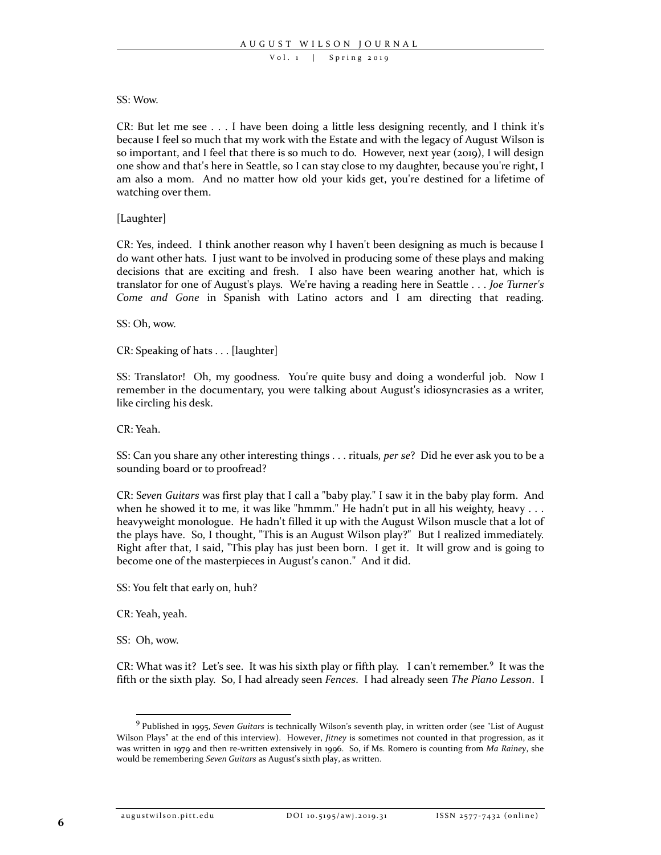#### SS: Wow.

CR: But let me see  $\ldots$  I have been doing a little less designing recently, and I think it's because I feel so much that my work with the Estate and with the legacy of August Wilson is so important, and I feel that there is so much to do. However, next year (2019), I will design one show and that's here in Seattle, so I can stay close to my daughter, because you're right, I am also a mom. And no matter how old your kids get, you're destined for a lifetime of watching over them.

### [Laughter]

CR: Yes, indeed. I think another reason why I haven't been designing as much is because I do want other hats. I just want to be involved in producing some of these plays and making decisions that are exciting and fresh. I also have been wearing another hat, which is translator for one of August's plays. We're having a reading here in Seattle . . . *Joe Turner's Come and Gone* in Spanish with Latino actors and I am directing that reading.

SS: Oh, wow.

CR: Speaking of hats . . . [laughter]

SS: Translator! Oh, my goodness. You're quite busy and doing a wonderful job. Now I remember in the documentary, you were talking about August's idiosyncrasies as a writer, like circling his desk.

CR: Yeah.

SS: Can you share any other interesting things . . . rituals, *per se*? Did he ever ask you to be a sounding board or to proofread?

CR: S*even Guitars* was first play that I call a "baby play." I saw it in the baby play form. And when he showed it to me, it was like "hmmm." He hadn't put in all his weighty, heavy  $\dots$ heavyweight monologue. He hadn't filled it up with the August Wilson muscle that a lot of the plays have. So, I thought, "This is an August Wilson play?" But I realized immediately. Right after that, I said, "This play has just been born. I get it. It will grow and is going to become one of the masterpieces in August's canon." And it did.

SS: You felt that early on, huh?

CR: Yeah, yeah.

SS: Oh, wow.

CR: What was it? Let's see. It was his sixth play or fifth play. I can't remember.<sup>[9](#page-5-0)</sup> It was the fifth or the sixth play. So, I had already seen *Fences*. I had already seen *The Piano Lesson*. I

<span id="page-5-0"></span> <sup>9</sup> Published in 1995, *Seven Guitars* is technically Wilson's seventh play, in written order (see "List of August Wilson Plays" at the end of this interview). However, *Jitney* is sometimes not counted in that progression, as it was written in 1979 and then re-written extensively in 1996. So, if Ms. Romero is counting from *Ma Rainey*, she would be remembering *Seven Guitars* as August's sixth play, as written.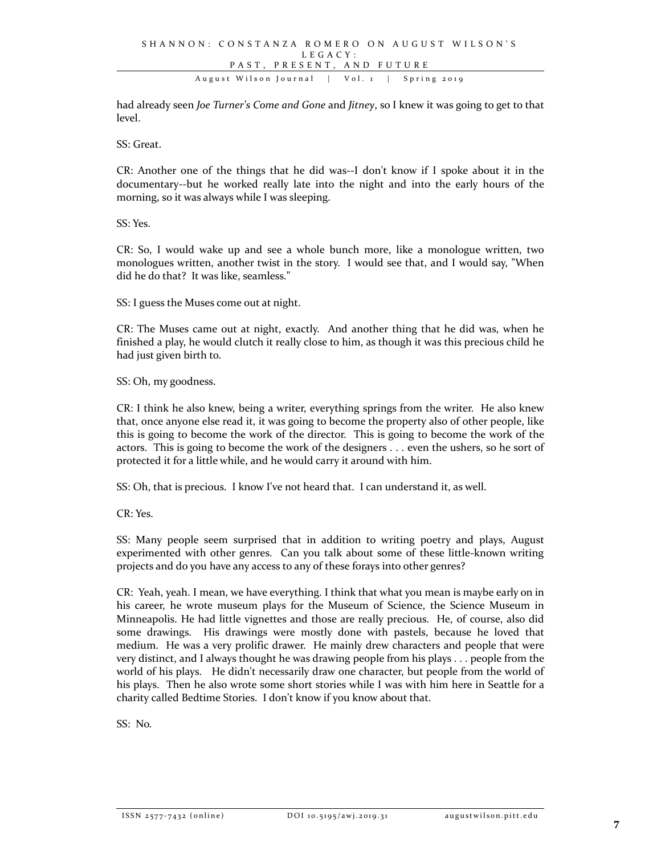had already seen *Joe Turner's Come and Gone* and *Jitney*, so I knew it was going to get to that level.

SS: Great.

CR: Another one of the things that he did was--I don't know if I spoke about it in the documentary--but he worked really late into the night and into the early hours of the morning, so it was always while I was sleeping.

SS: Yes.

CR: So, I would wake up and see a whole bunch more, like a monologue written, two monologues written, another twist in the story. I would see that, and I would say, "When did he do that? It was like, seamless."

SS: I guess the Muses come out at night.

CR: The Muses came out at night, exactly. And another thing that he did was, when he finished a play, he would clutch it really close to him, as though it was this precious child he had just given birth to.

SS: Oh, my goodness.

CR: I think he also knew, being a writer, everything springs from the writer. He also knew that, once anyone else read it, it was going to become the property also of other people, like this is going to become the work of the director. This is going to become the work of the actors. This is going to become the work of the designers . . . even the ushers, so he sort of protected it for a little while, and he would carry it around with him.

SS: Oh, that is precious. I know I've not heard that. I can understand it, as well.

CR: Yes.

SS: Many people seem surprised that in addition to writing poetry and plays, August experimented with other genres. Can you talk about some of these little-known writing projects and do you have any access to any of these forays into other genres?

CR: Yeah, yeah. I mean, we have everything. I think that what you mean is maybe early on in his career, he wrote museum plays for the Museum of Science, the Science Museum in Minneapolis. He had little vignettes and those are really precious. He, of course, also did some drawings. His drawings were mostly done with pastels, because he loved that medium. He was a very prolific drawer. He mainly drew characters and people that were very distinct, and I always thought he was drawing people from his plays . . . people from the world of his plays. He didn't necessarily draw one character, but people from the world of his plays. Then he also wrote some short stories while I was with him here in Seattle for a charity called Bedtime Stories. I don't know if you know about that.

SS: No.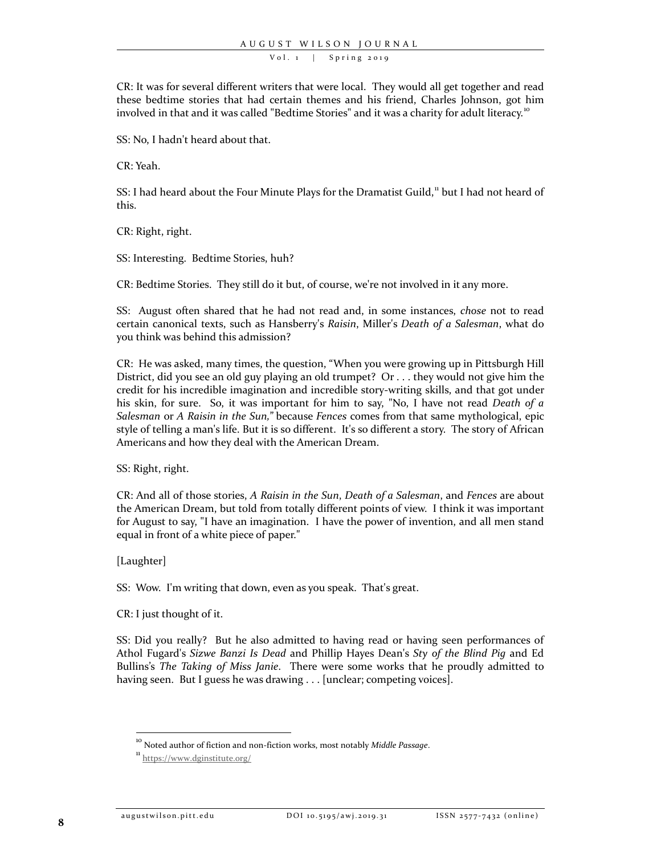CR: It was for several different writers that were local. They would all get together and read these bedtime stories that had certain themes and his friend, Charles Johnson, got him involved in that and it was called "Bedtime Stories" and it was a charity for adult literacy.<sup>[10](#page-7-0)</sup>

SS: No, I hadn't heard about that.

CR: Yeah.

SS: I had heard about the Four Minute Plays for the Dramatist Guild,<sup>[11](#page-7-1)</sup> but I had not heard of this.

CR: Right, right.

SS: Interesting. Bedtime Stories, huh?

CR: Bedtime Stories. They still do it but, of course, we're not involved in it any more.

SS: August often shared that he had not read and, in some instances, *chose* not to read certain canonical texts, such as Hansberry's *Raisin*, Miller's *Death of a Salesman*, what do you think was behind this admission?

CR: He was asked, many times, the question, "When you were growing up in Pittsburgh Hill District, did you see an old guy playing an old trumpet? Or . . . they would not give him the credit for his incredible imagination and incredible story-writing skills, and that got under his skin, for sure. So, it was important for him to say, "No, I have not read *Death of a Salesman* or *A Raisin in the Sun,"* because *Fences* comes from that same mythological, epic style of telling a man's life. But it is so different. It's so different a story. The story of African Americans and how they deal with the American Dream.

SS: Right, right.

CR: And all of those stories, *A Raisin in the Sun*, *Death of a Salesman*, and *Fences* are about the American Dream, but told from totally different points of view. I think it was important for August to say, "I have an imagination. I have the power of invention, and all men stand equal in front of a white piece of paper."

[Laughter]

SS: Wow. I'm writing that down, even as you speak. That's great.

CR: I just thought of it.

SS: Did you really? But he also admitted to having read or having seen performances of Athol Fugard's *Sizwe Banzi Is Dead* and Phillip Hayes Dean's *Sty of the Blind Pig* and Ed Bullins's *The Taking of Miss Janie*. There were some works that he proudly admitted to having seen. But I guess he was drawing . . . [unclear; competing voices].

<sup>&</sup>lt;sup>10</sup> Noted author of fiction and non-fiction works, most notably *Middle Passage*.

<span id="page-7-1"></span><span id="page-7-0"></span> $\frac{11}{1}$  <https://www.dginstitute.org/>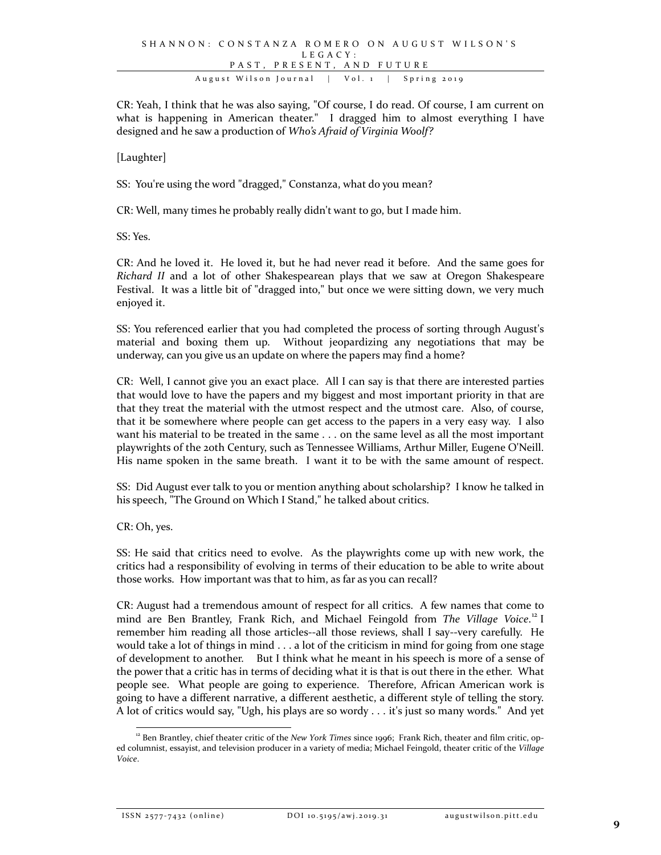CR: Yeah, I think that he was also saying, "Of course, I do read. Of course, I am current on what is happening in American theater." I dragged him to almost everything I have designed and he saw a production of *Who's Afraid of Virginia Woolf?*

[Laughter]

SS: You're using the word "dragged," Constanza, what do you mean?

CR: Well, many times he probably really didn't want to go, but I made him.

SS: Yes.

CR: And he loved it. He loved it, but he had never read it before. And the same goes for *Richard II* and a lot of other Shakespearean plays that we saw at Oregon Shakespeare Festival. It was a little bit of "dragged into," but once we were sitting down, we very much enjoyed it.

SS: You referenced earlier that you had completed the process of sorting through August's material and boxing them up. Without jeopardizing any negotiations that may be underway, can you give us an update on where the papers may find a home?

CR: Well, I cannot give you an exact place. All I can say is that there are interested parties that would love to have the papers and my biggest and most important priority in that are that they treat the material with the utmost respect and the utmost care. Also, of course, that it be somewhere where people can get access to the papers in a very easy way. I also want his material to be treated in the same . . . on the same level as all the most important playwrights of the 20th Century, such as Tennessee Williams, Arthur Miller, Eugene O'Neill. His name spoken in the same breath. I want it to be with the same amount of respect.

SS: Did August ever talk to you or mention anything about scholarship? I know he talked in his speech, "The Ground on Which I Stand," he talked about critics.

CR: Oh, yes.

SS: He said that critics need to evolve. As the playwrights come up with new work, the critics had a responsibility of evolving in terms of their education to be able to write about those works. How important was that to him, as far as you can recall?

CR: August had a tremendous amount of respect for all critics. A few names that come to mind are Ben Brantley, Frank Rich, and Michael Feingold from *The Village Voice*. [12](#page-8-0) I remember him reading all those articles--all those reviews, shall I say--very carefully. He would take a lot of things in mind . . . a lot of the criticism in mind for going from one stage of development to another. But I think what he meant in his speech is more of a sense of the power that a critic has in terms of deciding what it is that is out there in the ether. What people see. What people are going to experience. Therefore, African American work is going to have a different narrative, a different aesthetic, a different style of telling the story. A lot of critics would say, "Ugh, his plays are so wordy . . . it's just so many words." And yet

ISSN 2577-7432 (online) DOI 10.5195/awj.2019.31 augustwilson.pitt.edu

<span id="page-8-0"></span><sup>&</sup>lt;sup>12</sup> Ben Brantley, chief theater critic of the *New York Times* since 1996; Frank Rich, theater and film critic, oped columnist, essayist, and television producer in a variety of media; Michael Feingold, theater critic of the *Village Voice*.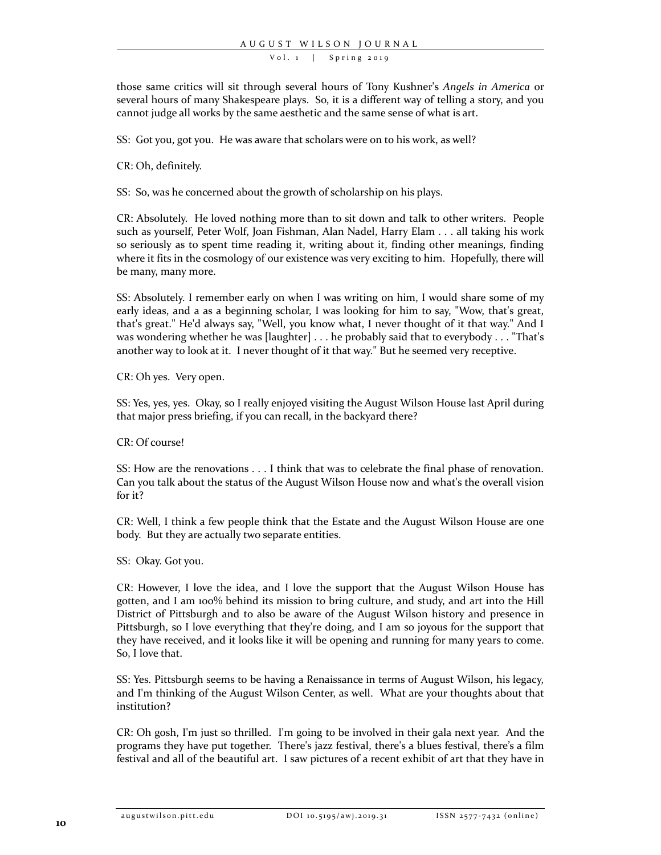those same critics will sit through several hours of Tony Kushner's *Angels in America* or several hours of many Shakespeare plays. So, it is a different way of telling a story, and you cannot judge all works by the same aesthetic and the same sense of what is art.

SS: Got you, got you. He was aware that scholars were on to his work, as well?

CR: Oh, definitely.

SS: So, was he concerned about the growth of scholarship on his plays.

CR: Absolutely. He loved nothing more than to sit down and talk to other writers. People such as yourself, Peter Wolf, Joan Fishman, Alan Nadel, Harry Elam . . . all taking his work so seriously as to spent time reading it, writing about it, finding other meanings, finding where it fits in the cosmology of our existence was very exciting to him. Hopefully, there will be many, many more.

SS: Absolutely. I remember early on when I was writing on him, I would share some of my early ideas, and a as a beginning scholar, I was looking for him to say, "Wow, that's great, that's great." He'd always say, "Well, you know what, I never thought of it that way." And I was wondering whether he was [laughter] . . . he probably said that to everybody . . . "That's another way to look at it. I never thought of it that way." But he seemed very receptive.

CR: Oh yes. Very open.

SS: Yes, yes, yes. Okay, so I really enjoyed visiting the August Wilson House last April during that major press briefing, if you can recall, in the backyard there?

CR: Of course!

SS: How are the renovations . . . I think that was to celebrate the final phase of renovation. Can you talk about the status of the August Wilson House now and what's the overall vision for it?

CR: Well, I think a few people think that the Estate and the August Wilson House are one body. But they are actually two separate entities.

SS: Okay. Got you.

CR: However, I love the idea, and I love the support that the August Wilson House has gotten, and I am 100% behind its mission to bring culture, and study, and art into the Hill District of Pittsburgh and to also be aware of the August Wilson history and presence in Pittsburgh, so I love everything that they're doing, and I am so joyous for the support that they have received, and it looks like it will be opening and running for many years to come. So, I love that.

SS: Yes. Pittsburgh seems to be having a Renaissance in terms of August Wilson, his legacy, and I'm thinking of the August Wilson Center, as well. What are your thoughts about that institution?

CR: Oh gosh, I'm just so thrilled. I'm going to be involved in their gala next year. And the programs they have put together. There's jazz festival, there's a blues festival, there's a film festival and all of the beautiful art. I saw pictures of a recent exhibit of art that they have in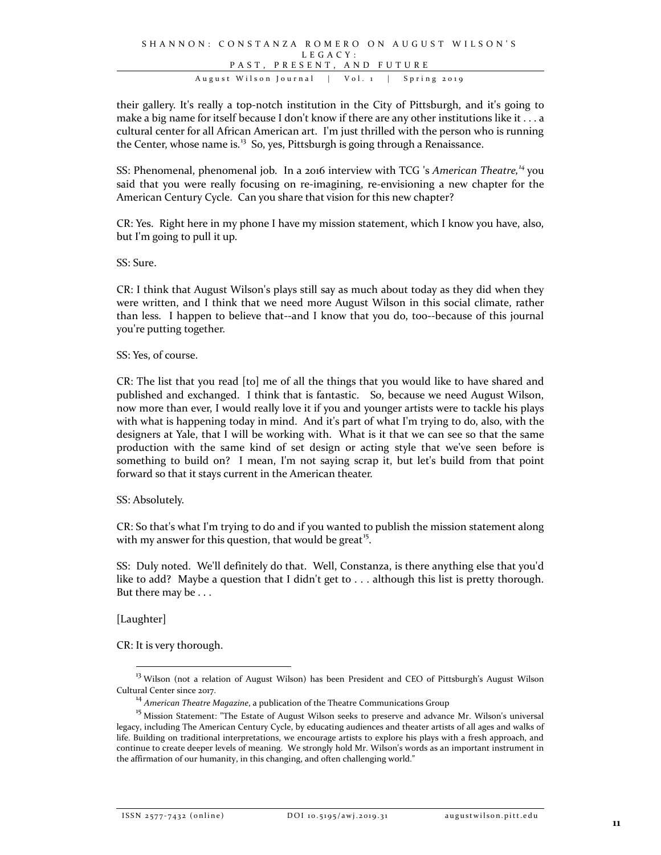their gallery. It's really a top-notch institution in the City of Pittsburgh, and it's going to make a big name for itself because I don't know if there are any other institutions like it . . . a cultural center for all African American art. I'm just thrilled with the person who is running the Center, whose name is. $<sup>13</sup>$  $<sup>13</sup>$  $<sup>13</sup>$  So, yes, Pittsburgh is going through a Renaissance.</sup>

SS: Phenomenal, phenomenal job. In a 2016 interview with TCG 's *American Theatre, [14](#page-10-1)* you said that you were really focusing on re-imagining, re-envisioning a new chapter for the American Century Cycle. Can you share that vision for this new chapter?

CR: Yes. Right here in my phone I have my mission statement, which I know you have, also, but I'm going to pull it up.

SS: Sure.

CR: I think that August Wilson's plays still say as much about today as they did when they were written, and I think that we need more August Wilson in this social climate, rather than less. I happen to believe that--and I know that you do, too--because of this journal you're putting together.

SS: Yes, of course.

CR: The list that you read [to] me of all the things that you would like to have shared and published and exchanged. I think that is fantastic. So, because we need August Wilson, now more than ever, I would really love it if you and younger artists were to tackle his plays with what is happening today in mind. And it's part of what I'm trying to do, also, with the designers at Yale, that I will be working with. What is it that we can see so that the same production with the same kind of set design or acting style that we've seen before is something to build on? I mean, I'm not saying scrap it, but let's build from that point forward so that it stays current in the American theater.

SS: Absolutely.

CR: So that's what I'm trying to do and if you wanted to publish the mission statement along with my answer for this question, that would be great<sup>15</sup>.

SS: Duly noted. We'll definitely do that. Well, Constanza, is there anything else that you'd like to add? Maybe a question that I didn't get to . . . although this list is pretty thorough. But there may be . . .

[Laughter]

CR: It is very thorough.

<span id="page-10-0"></span><sup>&</sup>lt;sup>13</sup> Wilson (not a relation of August Wilson) has been President and CEO of Pittsburgh's August Wilson Cultural Center since 2017. 14 *American Theatre Magazine*, a publication of the Theatre Communications Group

<span id="page-10-2"></span><span id="page-10-1"></span><sup>&</sup>lt;sup>15</sup> Mission Statement: "The Estate of August Wilson seeks to preserve and advance Mr. Wilson's universal legacy, including The American Century Cycle, by educating audiences and theater artists of all ages and walks of life. Building on traditional interpretations, we encourage artists to explore his plays with a fresh approach, and continue to create deeper levels of meaning. We strongly hold Mr. Wilson's words as an important instrument in the affirmation of our humanity, in this changing, and often challenging world."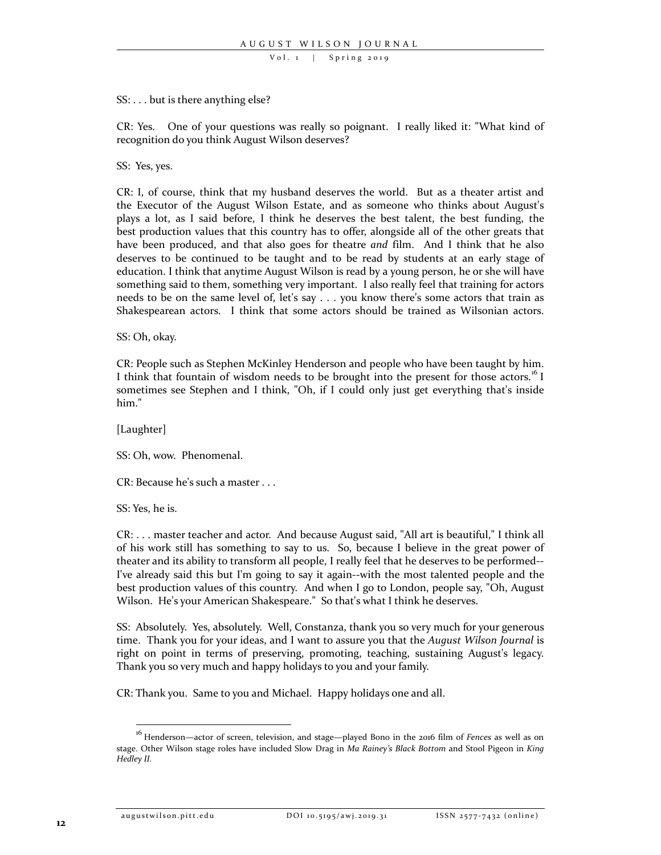#### SS: . . . but is there anything else?

CR: Yes. One of your questions was really so poignant. I really liked it: "What kind of recognition do you think August Wilson deserves?

SS: Yes, yes.

CR: I, of course, think that my husband deserves the world. But as a theater artist and the Executor of the August Wilson Estate, and as someone who thinks about August's plays a lot, as I said before, I think he deserves the best talent, the best funding, the best production values that this country has to offer, alongside all of the other greats that have been produced, and that also goes for theatre *and* film. And I think that he also deserves to be continued to be taught and to be read by students at an early stage of education. I think that anytime August Wilson is read by a young person, he or she will have something said to them, something very important. I also really feel that training for actors needs to be on the same level of, let's say . . . you know there's some actors that train as Shakespearean actors. I think that some actors should be trained as Wilsonian actors.

SS: Oh, okay.

CR: People such as Stephen McKinley Henderson and people who have been taught by him. I think that fountain of wisdom needs to be brought into the present for those actors.<sup>[16](#page-11-0)</sup> I sometimes see Stephen and I think, "Oh, if I could only just get everything that's inside him."

[Laughter]

SS: Oh, wow. Phenomenal.

CR: Because he's such a master . . .

SS: Yes, he is.

CR: . . . master teacher and actor. And because August said, "All art is beautiful," I think all of his work still has something to say to us. So, because I believe in the great power of theater and its ability to transform all people, I really feel that he deserves to be performed-- I've already said this but I'm going to say it again--with the most talented people and the best production values of this country. And when I go to London, people say, "Oh, August Wilson. He's your American Shakespeare." So that's what I think he deserves.

SS: Absolutely. Yes, absolutely. Well, Constanza, thank you so very much for your generous time. Thank you for your ideas, and I want to assure you that the *August Wilson Journal* is right on point in terms of preserving, promoting, teaching, sustaining August's legacy. Thank you so very much and happy holidays to you and your family.

CR: Thank you. Same to you and Michael. Happy holidays one and all.

<span id="page-11-0"></span> <sup>16</sup> Henderson—actor of screen, television, and stage—played Bono in the 2016 film of *Fences* as well as on stage. Other Wilson stage roles have included Slow Drag in *Ma Rainey's Black Bottom* and Stool Pigeon in *King Hedley II.*